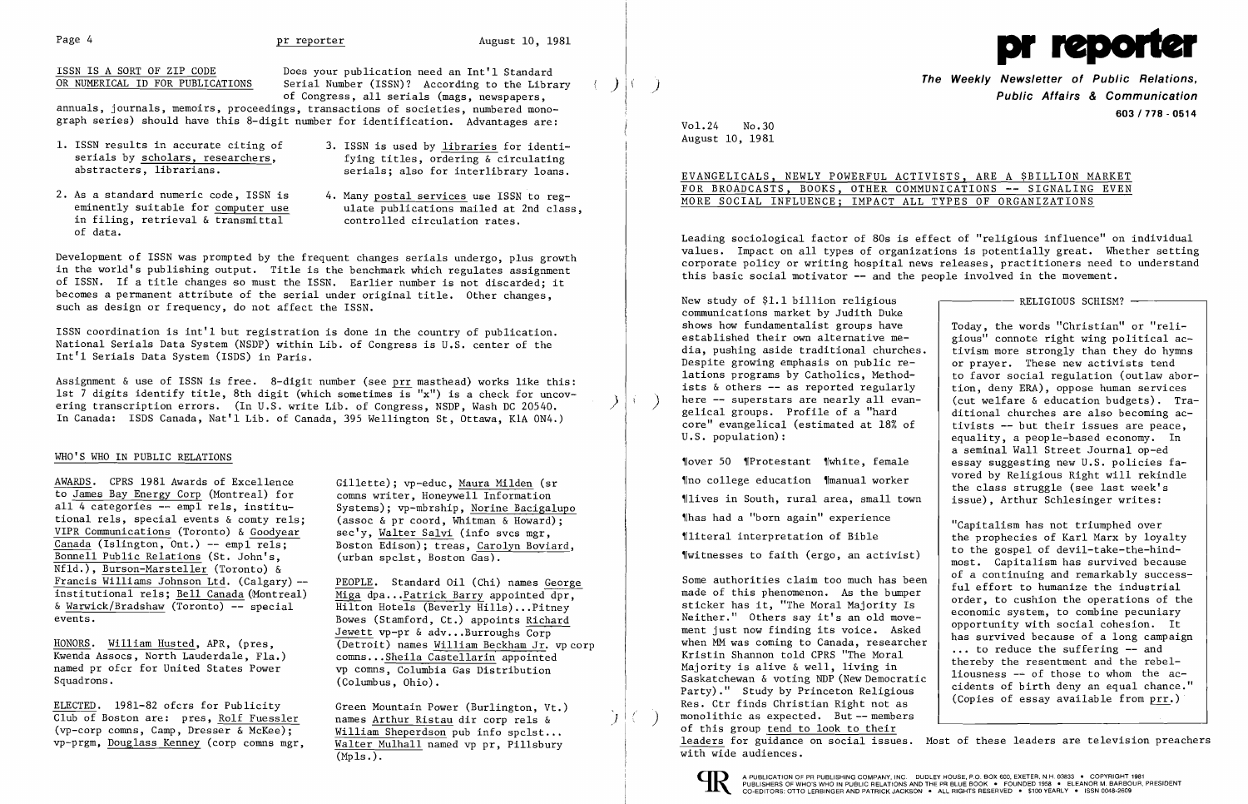ISSN IS A SORT OF ZIP CODE Does your publication need an Int'l Standard<br>OR NUMERICAL ID FOR PUBLICATIONS Serial Number (ISSN)? According to the Libra

of Congress, all serials (mags, newspapers,<br>
annuals, journals, memoirs, proceedings, transactions of societies, numbered monoannuals, journals, memoirs, proceedings, transactions of societies, numbered mono-<br>graph series) should have this 8-digit number for identification. Advantages are: Vol.24 No.30<br>August 10, 1981

- 
- in filing, retrieval & transmittal of data.
- 1. ISSN results in accurate citing of 3. ISSN is used by  $\frac{1}{1}$  ibraries for identi-<br>serials by scholars, researchers,  $\frac{1}{1}$  fying titles, ordering & circulating serials by scholars, researchers, fying titles, ordering & circulating<br>abstracters, librarians. example serials; also for interlibrary loans.
	-

Development of ISSN was prompted by the frequent changes serials undergo, plus growth<br>in the world's publishing output. Title is the benchmark which regulates assignment<br>of ISSN. If a title changes so must the ISSN. Earlie becomes a permanent attribute of the serial under original title. Other changes,<br>such as design or frequency, do not affect the ISSN.<br>shows how fundamentalist groups have and a show fundamentalist groups have the words "Ch

ISSN coordination is int'l but registration is done in the country of publication.<br>
National Serials Data System (NSDP) within Lib. of Congress is U.S. center of the and take the metalistical computation is interval to the

Assignment & use of ISSN is free. 8-digit number (see prr masthead) works like this:<br>
lat 7 digits identify tile, 8th digit (which sometimes is "x") is a check for uncovering transcription errors. (In U.S. write Lib. of Co

(vp-corp comns, Camp, Dresser & McKee); William Sheperdson pub info spclst...<br>vp-prgm, Douglass Kenney (corp comns mgr, Walter Mulhall named vp pr, Pillsbury

 $(Mp1s.).$ 

EVANGELICALS, NEWLY POWERFUL ACTIVISTS, ARE A \$BILLION MARKET 2. As a standard numeric code, ISSN is 4. Many postal services use ISSN to reg-<br>
eminently suitable for computer use ulate publications mailed at 2nd class,<br>
in filing, retrieval & transmittal controlled circulation rates.

Leading sociological factor of 80s is effect of "religious influence" on individual values. Impact on all types of organizations is potentially great. Whether setting

AWARDS. CPRS 1981 Awards of Excellence Gillette); vp-educ, <u>Maura Milden</u> (sr New York of Manual worker vored by Religious Right will rekindle<br>to <u>James Bay Energy Corp</u> (Montreal) for comms writer, Honeywell Information (



**The Weekly Newsletter of Public Relations,** Serial Number (ISSN)? According to the Library ( ) \\ ) ( ) **The Weekly Newsletter of Public Relations,** The Congress, all serials (mags, newspapers, ( ) \\ ) ( ) ( ) ( ) ( ) (

U.S. population):<br>  $\begin{array}{c|c} \n\text{U.S. population:} \\
\text{a seminal Wall Street Journal op-ed}\n\end{array}$ a seminal Wall Street Journal op-ed New York Street Journal op-ed New York Street Sournal op-ed New York Street Sournal op-ed New York Street Sournal op-ed New York Street Sournal op-ed New York Street Sournal op-ed New Yo

tional rels, special events & comty rels; (assoc & proord, Whitman & Howard);<br>
<u>Canada</u> (Islington, Ont.) -- empl rels; Sach Edison); treas, Carolyn Boviard,<br>
<u>Canada</u> (Islington, Ont.) -- empl rels; Sach Edison); treas, C Agreed Assocs, North Lauderdale, Fla.)<br>
Moones, William Husted, APR, (pres, (Detroit) names William Beckham Jr. vpcorp<br>
ELECTED. 1981-82 ofcrs for Publicity (Seem Mountain Power (Burlington, Vt.) (Burlington, Vt.) (Burlin <u>ELECTED</u>. 1981-82 ofcrs for Publicity (Steen Mountain Power (Burlington, Vt.)<br>
Club of Boston are: pres, <u>Rolf Fuessler</u> names <u>Arthur Ristau</u> dir corp rels & (vp-corp communitation Right -- members (vp-corp communitatio of this group tend to look to their leaders for guidance on social issues. Most of these leaders are television preachers with wide audiences.